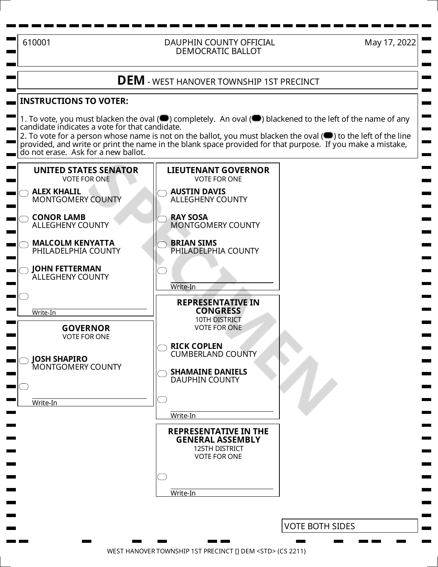## 610001 DAUPHIN COUNTY OFFICIAL DEMOCRATIC BALLOT

May 17, 2022

## **DEM** - WEST HANOVER TOWNSHIP 1ST PRECINCT

## **INSTRUCTIONS TO VOTER:**

1. To vote, you must blacken the oval  $(\blacksquare)$  completely. An oval  $(\blacksquare)$  blackened to the left of the name of any candidate indicates a vote for that candidate.

2. To vote for a person whose name is not on the ballot, you must blacken the oval  $($ **)** to the left of the line provided, and write or print the name in the blank space provided for that purpose. If you make a mistake, do not erase. Ask for a new ballot.



VOTE BOTH SIDES